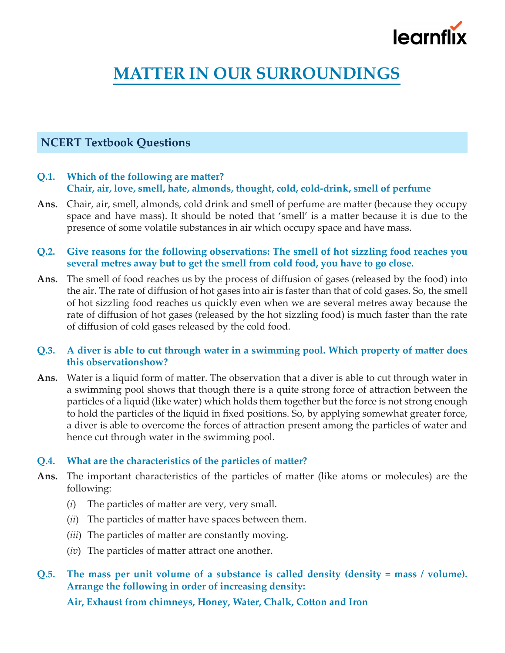

# **MATTER IN OUR SURROUNDINGS**

# **NCERT Textbook Questions**

### **Q.1. Which of the following are matter? Chair, air, love, smell, hate, almonds, thought, cold, cold-drink, smell of perfume**

**Ans.** Chair, air, smell, almonds, cold drink and smell of perfume are matter (because they occupy space and have mass). It should be noted that 'smell' is a matter because it is due to the presence of some volatile substances in air which occupy space and have mass.

### **Q.2. Give reasons for the following observations: The smell of hot sizzling food reaches you several metres away but to get the smell from cold food, you have to go close.**

**Ans.** The smell of food reaches us by the process of diffusion of gases (released by the food) into the air. The rate of diffusion of hot gases into air is faster than that of cold gases. So, the smell of hot sizzling food reaches us quickly even when we are several metres away because the rate of diffusion of hot gases (released by the hot sizzling food) is much faster than the rate of diffusion of cold gases released by the cold food.

# **Q.3. A diver is able to cut through water in a swimming pool. Which property of matter does this observationshow?**

**Ans.** Water is a liquid form of matter. The observation that a diver is able to cut through water in a swimming pool shows that though there is a quite strong force of attraction between the particles of a liquid (like water) which holds them together but the force is not strong enough to hold the particles of the liquid in fixed positions. So, by applying somewhat greater force, a diver is able to overcome the forces of attraction present among the particles of water and hence cut through water in the swimming pool.

#### **Q.4. What are the characteristics of the particles of matter?**

- **Ans.** The important characteristics of the particles of matter (like atoms or molecules) are the following:
	- (*i*) The particles of matter are very, very small.
	- (*ii*) The particles of matter have spaces between them.
	- (*iii*) The particles of matter are constantly moving.
	- (*iv*) The particles of matter attract one another.

# **Q.5. The mass per unit volume of a substance is called density (density = mass / volume). Arrange the following in order of increasing density:**

 **Air, Exhaust from chimneys, Honey, Water, Chalk, Cotton and Iron**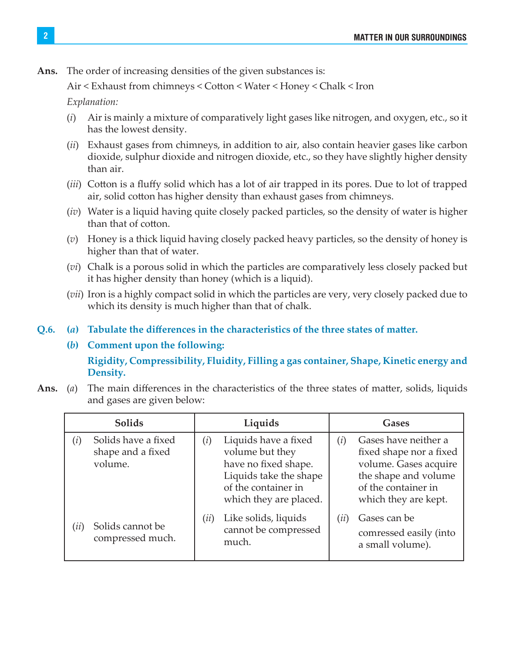**Ans.** The order of increasing densities of the given substances is:

Air < Exhaust from chimneys < Cotton < Water < Honey < Chalk < Iron

*Explanation:*

- (*i*) Air is mainly a mixture of comparatively light gases like nitrogen, and oxygen, etc., so it has the lowest density.
- (*ii*) Exhaust gases from chimneys, in addition to air, also contain heavier gases like carbon dioxide, sulphur dioxide and nitrogen dioxide, etc., so they have slightly higher density than air.
- (*iii*) Cotton is a fluffy solid which has a lot of air trapped in its pores. Due to lot of trapped air, solid cotton has higher density than exhaust gases from chimneys.
- (*iv*) Water is a liquid having quite closely packed particles, so the density of water is higher than that of cotton.
- (*v*) Honey is a thick liquid having closely packed heavy particles, so the density of honey is higher than that of water.
- (*vi*) Chalk is a porous solid in which the particles are comparatively less closely packed but it has higher density than honey (which is a liquid).
- (*vii*) Iron is a highly compact solid in which the particles are very, very closely packed due to which its density is much higher than that of chalk.
- **Q.6. (***a***) Tabulate the differences in the characteristics of the three states of matter.**

#### **(***b***) Comment upon the following:**

 **Rigidity, Compressibility, Fluidity, Filling a gas container, Shape, Kinetic energy and Density.**

**Ans.** (*a*) The main differences in the characteristics of the three states of matter, solids, liquids and gases are given below:

| Solids                 |                                                     | Liquids           |                                                                                                                                            | Gases                |                                                                                                                                                 |
|------------------------|-----------------------------------------------------|-------------------|--------------------------------------------------------------------------------------------------------------------------------------------|----------------------|-------------------------------------------------------------------------------------------------------------------------------------------------|
| $\left( \iota \right)$ | Solids have a fixed<br>shape and a fixed<br>volume. | (i)               | Liquids have a fixed<br>volume but they<br>have no fixed shape.<br>Liquids take the shape<br>of the container in<br>which they are placed. | $\left( \nu \right)$ | Gases have neither a<br>fixed shape nor a fixed<br>volume. Gases acquire<br>the shape and volume<br>of the container in<br>which they are kept. |
| $\left( u\right)$      | Solids cannot be<br>compressed much.                | $\left( u\right)$ | Like solids, liquids<br>cannot be compressed<br>much.                                                                                      | $\left( u\right)$    | Gases can be<br>comressed easily (into<br>a small volume).                                                                                      |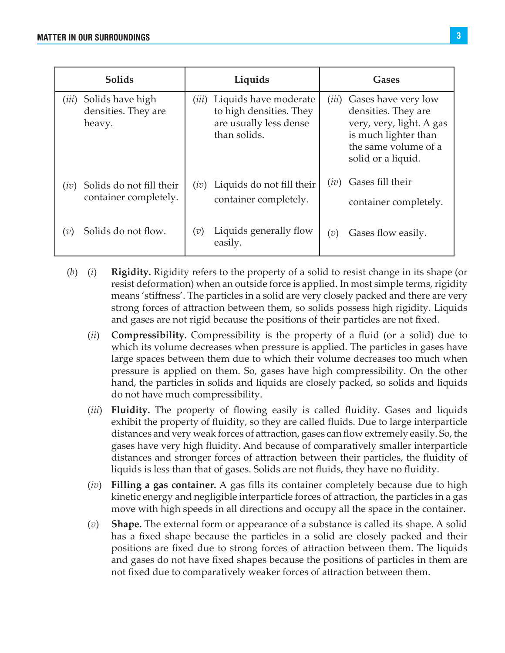| <b>Solids</b>                                              | Liquids                                                                                             | Gases                                                                                                                                                 |  |
|------------------------------------------------------------|-----------------------------------------------------------------------------------------------------|-------------------------------------------------------------------------------------------------------------------------------------------------------|--|
| Solids have high<br>(iii)<br>densities. They are<br>heavy. | Liquids have moderate<br>(iii)<br>to high densities. They<br>are usually less dense<br>than solids. | Gases have very low<br>(iii)<br>densities. They are<br>very, very, light. A gas<br>is much lighter than<br>the same volume of a<br>solid or a liquid. |  |
| Solids do not fill their<br>(iv)<br>container completely.  | Liquids do not fill their<br>(iv)<br>container completely.                                          | Gases fill their<br>(iv)<br>container completely.                                                                                                     |  |
| Solids do not flow.<br>(v)                                 | Liquids generally flow<br>(v)<br>easily.                                                            | Gases flow easily.<br>(v)                                                                                                                             |  |

- (*b*) (*i*) **Rigidity.** Rigidity refers to the property of a solid to resist change in its shape (or resist deformation) when an outside force is applied. In most simple terms, rigidity means 'stiffness'. The particles in a solid are very closely packed and there are very strong forces of attraction between them, so solids possess high rigidity. Liquids and gases are not rigid because the positions of their particles are not fixed.
	- (*ii*) **Compressibility.** Compressibility is the property of a fluid (or a solid) due to which its volume decreases when pressure is applied. The particles in gases have large spaces between them due to which their volume decreases too much when pressure is applied on them. So, gases have high compressibility. On the other hand, the particles in solids and liquids are closely packed, so solids and liquids do not have much compressibility.
	- (*iii*) **Fluidity.** The property of flowing easily is called fluidity. Gases and liquids exhibit the property of fluidity, so they are called fluids. Due to large interparticle distances and very weak forces of attraction, gases can flow extremely easily. So, the gases have very high fluidity. And because of comparatively smaller interparticle distances and stronger forces of attraction between their particles, the fluidity of liquids is less than that of gases. Solids are not fluids, they have no fluidity.
	- (*iv*) **Filling a gas container.** A gas fills its container completely because due to high kinetic energy and negligible interparticle forces of attraction, the particles in a gas move with high speeds in all directions and occupy all the space in the container.
	- (*v*) **Shape.** The external form or appearance of a substance is called its shape. A solid has a fixed shape because the particles in a solid are closely packed and their positions are fixed due to strong forces of attraction between them. The liquids and gases do not have fixed shapes because the positions of particles in them are not fixed due to comparatively weaker forces of attraction between them.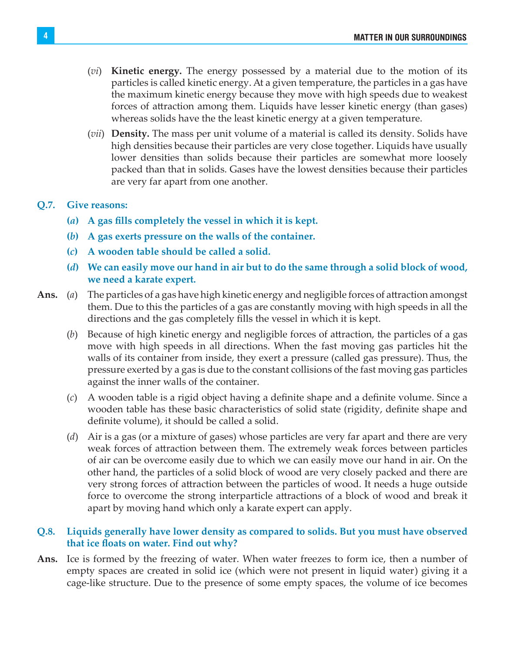- (*vi*) **Kinetic energy.** The energy possessed by a material due to the motion of its particles is called kinetic energy. At a given temperature, the particles in a gas have the maximum kinetic energy because they move with high speeds due to weakest forces of attraction among them. Liquids have lesser kinetic energy (than gases) whereas solids have the the least kinetic energy at a given temperature.
- (*vii*) **Density.** The mass per unit volume of a material is called its density. Solids have high densities because their particles are very close together. Liquids have usually lower densities than solids because their particles are somewhat more loosely packed than that in solids. Gases have the lowest densities because their particles are very far apart from one another.

#### **Q.7. Give reasons:**

- **(***a***) A gas fills completely the vessel in which it is kept.**
- **(***b***) A gas exerts pressure on the walls of the container.**
- **(***c***) A wooden table should be called a solid.**
- **(***d***) We can easily move our hand in air but to do the same through a solid block of wood, we need a karate expert.**
- **Ans.** (*a*) The particles of a gas have high kinetic energy and negligible forces of attraction amongst them. Due to this the particles of a gas are constantly moving with high speeds in all the directions and the gas completely fills the vessel in which it is kept.
	- (*b*) Because of high kinetic energy and negligible forces of attraction, the particles of a gas move with high speeds in all directions. When the fast moving gas particles hit the walls of its container from inside, they exert a pressure (called gas pressure). Thus, the pressure exerted by a gas is due to the constant collisions of the fast moving gas particles against the inner walls of the container.
	- (*c*) A wooden table is a rigid object having a definite shape and a definite volume. Since a wooden table has these basic characteristics of solid state (rigidity, definite shape and definite volume), it should be called a solid.
	- (*d*) Air is a gas (or a mixture of gases) whose particles are very far apart and there are very weak forces of attraction between them. The extremely weak forces between particles of air can be overcome easily due to which we can easily move our hand in air. On the other hand, the particles of a solid block of wood are very closely packed and there are very strong forces of attraction between the particles of wood. It needs a huge outside force to overcome the strong interparticle attractions of a block of wood and break it apart by moving hand which only a karate expert can apply.

#### **Q.8. Liquids generally have lower density as compared to solids. But you must have observed that ice floats on water. Find out why?**

Ans. Ice is formed by the freezing of water. When water freezes to form ice, then a number of empty spaces are created in solid ice (which were not present in liquid water) giving it a cage-like structure. Due to the presence of some empty spaces, the volume of ice becomes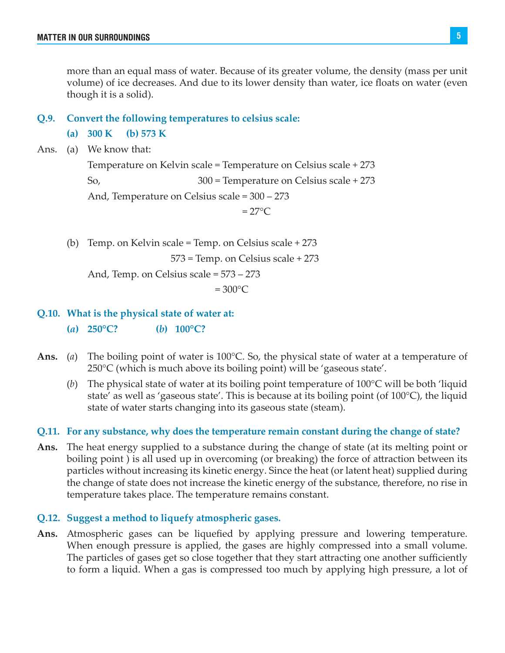more than an equal mass of water. Because of its greater volume, the density (mass per unit volume) of ice decreases. And due to its lower density than water, ice floats on water (even though it is a solid).

#### **Q.9. Convert the following temperatures to celsius scale:**

#### **(a) 300 K (b) 573 K**

Ans. (a) We know that:

Temperature on Kelvin scale = Temperature on Celsius scale + 273 So, 300 = Temperature on Celsius scale + 273 And, Temperature on Celsius scale = 300 – 273  $= 27$ °C

(b) Temp. on Kelvin scale = Temp. on Celsius scale + 273

573 = Temp. on Celsius scale + 273

And, Temp. on Celsius scale = 573 – 273

 $= 300^{\circ}C$ 

#### **Q.10. What is the physical state of water at:**

- $(a) 250^{\circ}$ C? (*b*) 100°C?
- **Ans.** (*a*) The boiling point of water is 100°C. So, the physical state of water at a temperature of 250°C (which is much above its boiling point) will be 'gaseous state'.
	- (*b*) The physical state of water at its boiling point temperature of 100°C will be both 'liquid state' as well as 'gaseous state'. This is because at its boiling point (of 100°C), the liquid state of water starts changing into its gaseous state (steam).

#### **Q.11. For any substance, why does the temperature remain constant during the change of state?**

**Ans.** The heat energy supplied to a substance during the change of state (at its melting point or boiling point ) is all used up in overcoming (or breaking) the force of attraction between its particles without increasing its kinetic energy. Since the heat (or latent heat) supplied during the change of state does not increase the kinetic energy of the substance, therefore, no rise in temperature takes place. The temperature remains constant.

#### **Q.12. Suggest a method to liquefy atmospheric gases.**

**Ans.** Atmospheric gases can be liquefied by applying pressure and lowering temperature. When enough pressure is applied, the gases are highly compressed into a small volume. The particles of gases get so close together that they start attracting one another sufficiently to form a liquid. When a gas is compressed too much by applying high pressure, a lot of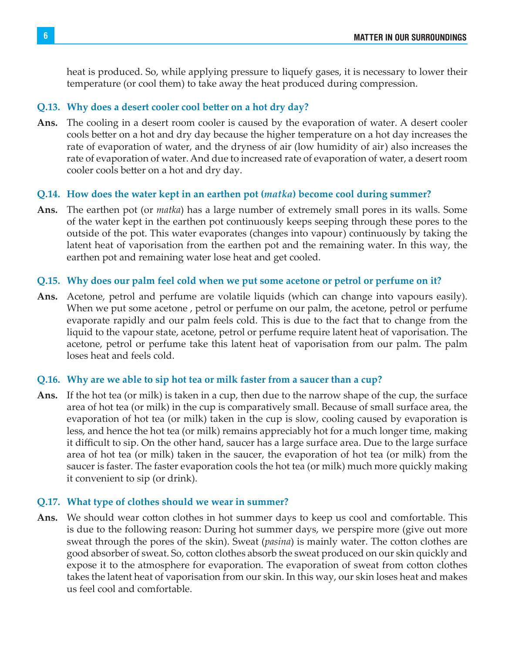heat is produced. So, while applying pressure to liquefy gases, it is necessary to lower their temperature (or cool them) to take away the heat produced during compression.

#### **Q.13. Why does a desert cooler cool better on a hot dry day?**

**Ans.** The cooling in a desert room cooler is caused by the evaporation of water. A desert cooler cools better on a hot and dry day because the higher temperature on a hot day increases the rate of evaporation of water, and the dryness of air (low humidity of air) also increases the rate of evaporation of water. And due to increased rate of evaporation of water, a desert room cooler cools better on a hot and dry day.

#### **Q.14. How does the water kept in an earthen pot (***matka***) become cool during summer?**

**Ans.** The earthen pot (or *matka*) has a large number of extremely small pores in its walls. Some of the water kept in the earthen pot continuously keeps seeping through these pores to the outside of the pot. This water evaporates (changes into vapour) continuously by taking the latent heat of vaporisation from the earthen pot and the remaining water. In this way, the earthen pot and remaining water lose heat and get cooled.

#### **Q.15. Why does our palm feel cold when we put some acetone or petrol or perfume on it?**

**Ans.** Acetone, petrol and perfume are volatile liquids (which can change into vapours easily). When we put some acetone , petrol or perfume on our palm, the acetone, petrol or perfume evaporate rapidly and our palm feels cold. This is due to the fact that to change from the liquid to the vapour state, acetone, petrol or perfume require latent heat of vaporisation. The acetone, petrol or perfume take this latent heat of vaporisation from our palm. The palm loses heat and feels cold.

#### **Q.16. Why are we able to sip hot tea or milk faster from a saucer than a cup?**

**Ans.** If the hot tea (or milk) is taken in a cup, then due to the narrow shape of the cup, the surface area of hot tea (or milk) in the cup is comparatively small. Because of small surface area, the evaporation of hot tea (or milk) taken in the cup is slow, cooling caused by evaporation is less, and hence the hot tea (or milk) remains appreciably hot for a much longer time, making it difficult to sip. On the other hand, saucer has a large surface area. Due to the large surface area of hot tea (or milk) taken in the saucer, the evaporation of hot tea (or milk) from the saucer is faster. The faster evaporation cools the hot tea (or milk) much more quickly making it convenient to sip (or drink).

#### **Q.17. What type of clothes should we wear in summer?**

**Ans.** We should wear cotton clothes in hot summer days to keep us cool and comfortable. This is due to the following reason: During hot summer days, we perspire more (give out more sweat through the pores of the skin). Sweat (*pasina*) is mainly water. The cotton clothes are good absorber of sweat. So, cotton clothes absorb the sweat produced on our skin quickly and expose it to the atmosphere for evaporation. The evaporation of sweat from cotton clothes takes the latent heat of vaporisation from our skin. In this way, our skin loses heat and makes us feel cool and comfortable.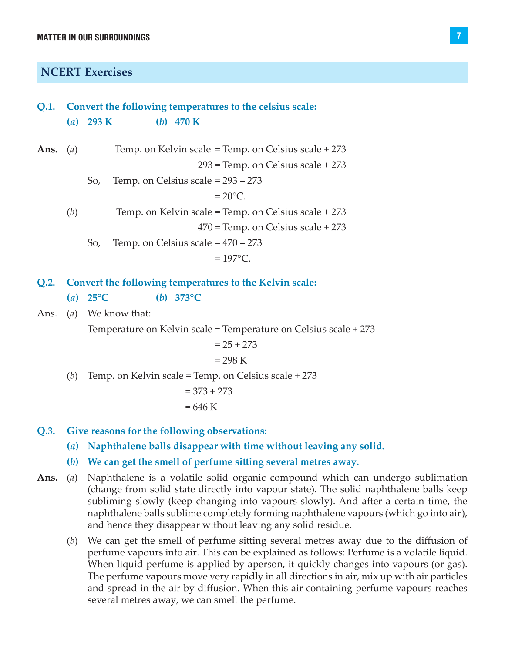#### **NCERT Exercises**

|            | Q.1. Convert the following temperatures to the celsius scale: |                                                         |  |  |  |  |
|------------|---------------------------------------------------------------|---------------------------------------------------------|--|--|--|--|
|            |                                                               | (a) 293 K<br>(b) $470 K$                                |  |  |  |  |
| Ans. $(a)$ |                                                               | Temp. on Kelvin scale = Temp. on Celsius scale $+273$   |  |  |  |  |
|            |                                                               | $293$ = Temp. on Celsius scale + 273                    |  |  |  |  |
|            |                                                               | Temp. on Celsius scale = $293 - 273$<br>So,             |  |  |  |  |
|            |                                                               | $= 20^{\circ}$ C.                                       |  |  |  |  |
|            | (b)                                                           | Temp. on Kelvin scale = Temp. on Celsius scale + 273    |  |  |  |  |
|            |                                                               | $470$ = Temp. on Celsius scale + 273                    |  |  |  |  |
|            |                                                               | Temp. on Celsius scale $= 470 - 273$<br>So,             |  |  |  |  |
|            |                                                               | $= 197$ °C.                                             |  |  |  |  |
| Q.2.       |                                                               | Convert the following temperatures to the Kelvin scale: |  |  |  |  |

**(***a***) 25°C (***b***) 373°C**

Ans. (*a*) We know that:

Temperature on Kelvin scale = Temperature on Celsius scale + 273

$$
= 25 + 273
$$

$$
= 298 \text{ K}
$$

(*b*) Temp. on Kelvin scale = Temp. on Celsius scale + 273

$$
= 373 + 273
$$

$$
= 646 \text{ K}
$$

**Q.3. Give reasons for the following observations:**

- **(***a***) Naphthalene balls disappear with time without leaving any solid.**
- **(***b***) We can get the smell of perfume sitting several metres away.**
- **Ans.** (*a*) Naphthalene is a volatile solid organic compound which can undergo sublimation (change from solid state directly into vapour state). The solid naphthalene balls keep subliming slowly (keep changing into vapours slowly). And after a certain time, the naphthalene balls sublime completely forming naphthalene vapours (which go into air), and hence they disappear without leaving any solid residue.
	- (*b*) We can get the smell of perfume sitting several metres away due to the diffusion of perfume vapours into air. This can be explained as follows: Perfume is a volatile liquid. When liquid perfume is applied by aperson, it quickly changes into vapours (or gas). The perfume vapours move very rapidly in all directions in air, mix up with air particles and spread in the air by diffusion. When this air containing perfume vapours reaches several metres away, we can smell the perfume.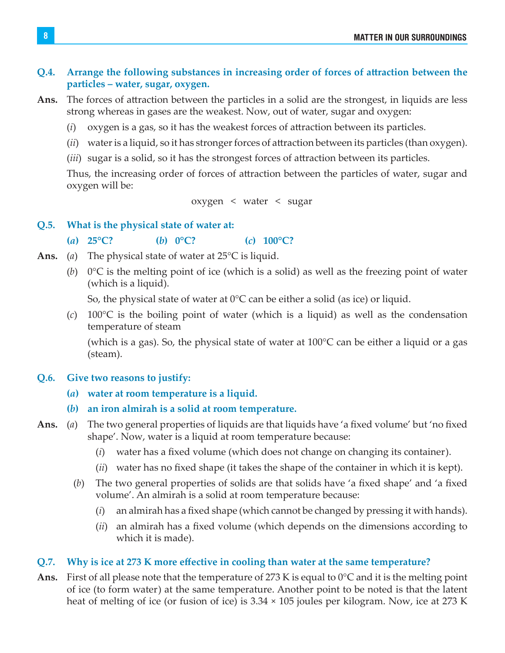# **Q.4. Arrange the following substances in increasing order of forces of attraction between the particles – water, sugar, oxygen.**

- **Ans.** The forces of attraction between the particles in a solid are the strongest, in liquids are less strong whereas in gases are the weakest. Now, out of water, sugar and oxygen:
	- (*i*) oxygen is a gas, so it has the weakest forces of attraction between its particles.
	- (*ii*) water is a liquid, so it has stronger forces of attraction between its particles (than oxygen).
	- (*iii*) sugar is a solid, so it has the strongest forces of attraction between its particles.

Thus, the increasing order of forces of attraction between the particles of water, sugar and oxygen will be:

oxygen < water < sugar

# **Q.5. What is the physical state of water at:**

# **(***a***) 25°C? (***b***) 0°C? (***c***) 100°C?**

- **Ans.** (*a*) The physical state of water at 25°C is liquid.
	- (*b*) 0°C is the melting point of ice (which is a solid) as well as the freezing point of water (which is a liquid).

So, the physical state of water at 0°C can be either a solid (as ice) or liquid.

(*c*) 100°C is the boiling point of water (which is a liquid) as well as the condensation temperature of steam

(which is a gas). So, the physical state of water at 100°C can be either a liquid or a gas (steam).

# **Q.6. Give two reasons to justify:**

# **(***a***) water at room temperature is a liquid.**

- **(***b***) an iron almirah is a solid at room temperature.**
- **Ans.** (*a*) The two general properties of liquids are that liquids have 'a fixed volume' but 'no fixed shape'. Now, water is a liquid at room temperature because:
	- (*i*) water has a fixed volume (which does not change on changing its container).
	- (*ii*) water has no fixed shape (it takes the shape of the container in which it is kept).
	- (*b*) The two general properties of solids are that solids have 'a fixed shape' and 'a fixed volume'. An almirah is a solid at room temperature because:
		- (*i*) an almirah has a fixed shape (which cannot be changed by pressing it with hands).
		- (*ii*) an almirah has a fixed volume (which depends on the dimensions according to which it is made).

# **Q.7. Why is ice at 273 K more effective in cooling than water at the same temperature?**

**Ans.** First of all please note that the temperature of 273 K is equal to 0°C and it is the melting point of ice (to form water) at the same temperature. Another point to be noted is that the latent heat of melting of ice (or fusion of ice) is 3.34 × 105 joules per kilogram. Now, ice at 273 K